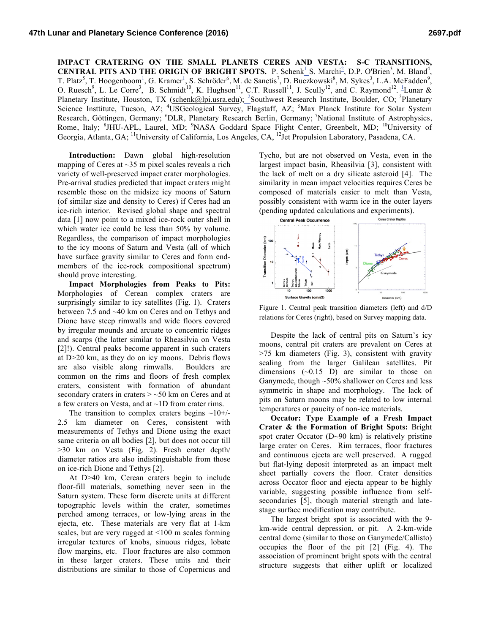**IMPACT CRATERING ON THE SMALL PLANETS CERES AND VESTA: S-C TRANSITIONS, CENTRAL PITS AND THE ORIGIN OF BRIGHT SPOTS.** P. Schenk<sup>1</sup> S. Marchi<sup>2</sup>, D.P. O'Brien<sup>3</sup>, M. Bland<sup>4</sup>, T. Platz<sup>5</sup>, T. Hoogenboom<sup>1</sup>, G. Kramer<sup>1</sup>, S. Schröder<sup>6</sup>, M. de Sanctis<sup>7</sup>, D. Buczkowski<sup>8</sup>, M. Sykes<sup>3</sup>, L.A. McFadden<sup>9</sup>, O. Ruesch<sup>9</sup>, L. Le Corre<sup>3</sup>, B. Schmidt<sup>10</sup>, K. Hughson<sup>11</sup>, C.T. Russell<sup>11</sup>, J. Scully<sup>12</sup>, and C. Raymond<sup>12</sup>. <sup>1</sup>Lunar & Planetary Institute, Houston, TX (schenk@lpi.usra.edu); <sup>2</sup>Southwest Research Institute, Boulder, CO; <sup>3</sup>Planetary Science Insttitute, Tucson, AZ; <sup>4</sup>USGeological Survey, Flagstaff, AZ; <sup>5</sup>Max Planck Institute for Solar System Research, Göttingen, Germany; <sup>6</sup>DLR, Planetary Research Berlin, Germany; <sup>7</sup>National Institute of Astrophysics, Rome, Italy; <sup>8</sup>JHU-APL, Laurel, MD; <sup>9</sup>NASA Goddard Space Flight Center, Greenbelt, MD; <sup>10</sup>University of Georgia, Atlanta, GA; <sup>11</sup>University of California, Los Angeles, CA, <sup>12</sup>Jet Propulsion Laboratory, Pasadena, CA.

**Introduction:** Dawn global high-resolution mapping of Ceres at  $\sim$ 35 m pixel scales reveals a rich variety of well-preserved impact crater morphologies. Pre-arrival studies predicted that impact craters might resemble those on the midsize icy moons of Saturn (of similar size and density to Ceres) if Ceres had an ice-rich interior. Revised global shape and spectral data [1] now point to a mixed ice-rock outer shell in which water ice could be less than 50% by volume. Regardless, the comparison of impact morphologies to the icy moons of Saturn and Vesta (all of which have surface gravity similar to Ceres and form endmembers of the ice-rock compositional spectrum) should prove interesting.

**Impact Morphologies from Peaks to Pits:** Morphologies of Cerean complex craters are surprisingly similar to icy satellites (Fig. 1). Craters between 7.5 and ~40 km on Ceres and on Tethys and Dione have steep rimwalls and wide floors covered by irregular mounds and arcuate to concentric ridges and scarps (the latter similar to Rheasilvia on Vesta [2]!). Central peaks become apparent in such craters at D>20 km, as they do on icy moons. Debris flows are also visible along rimwalls. Boulders are common on the rims and floors of fresh complex craters, consistent with formation of abundant secondary craters in craters  $>$  ~50 km on Ceres and at a few craters on Vesta, and at ~1D from crater rims.

The transition to complex craters begins  $\sim10^{+/-}$ 2.5 km diameter on Ceres, consistent with measurements of Tethys and Dione using the exact same criteria on all bodies [2], but does not occur till >30 km on Vesta (Fig. 2). Fresh crater depth/ diameter ratios are also indistinguishable from those on ice-rich Dione and Tethys [2].

At D>40 km, Cerean craters begin to include floor-fill materials, something never seen in the Saturn system. These form discrete units at different topographic levels within the crater, sometimes perched among terraces, or low-lying areas in the ejecta, etc. These materials are very flat at 1-km scales, but are very rugged at <100 m scales forming irregular textures of knobs, sinuous ridges, lobate flow margins, etc. Floor fractures are also common in these larger craters. These units and their distributions are similar to those of Copernicus and

Tycho, but are not observed on Vesta, even in the largest impact basin, Rheasilvia [3], consistent with the lack of melt on a dry silicate asteroid [4]. The similarity in mean impact velocities requires Ceres be composed of materials easier to melt than Vesta, possibly consistent with warm ice in the outer layers (pending updated calculations and experiments).



Figure 1. Central peak transition diameters (left) and d/D relations for Ceres (right), based on Survey mapping data.

Despite the lack of central pits on Saturn's icy moons, central pit craters are prevalent on Ceres at >75 km diameters (Fig. 3), consistent with gravity scaling from the larger Galilean satellites. Pit dimensions  $(\sim 0.15)$  are similar to those on Ganymede, though ~50% shallower on Ceres and less symmetric in shape and morphology. The lack of pits on Saturn moons may be related to low internal temperatures or paucity of non-ice materials.

**Occator: Type Example of a Fresh Impact Crater & the Formation of Bright Spots:** Bright spot crater Occator (D~90 km) is relatively pristine large crater on Ceres. Rim terraces, floor fractures and continuous ejecta are well preserved. A rugged but flat-lying deposit interpreted as an impact melt sheet partially covers the floor. Crater densities across Occator floor and ejecta appear to be highly variable, suggesting possible influence from selfsecondaries [5], though material strength and latestage surface modification may contribute.

The largest bright spot is associated with the 9 km-wide central depression, or pit. A 2-km-wide central dome (similar to those on Ganymede/Callisto) occupies the floor of the pit [2] (Fig. 4). The association of prominent bright spots with the central structure suggests that either uplift or localized